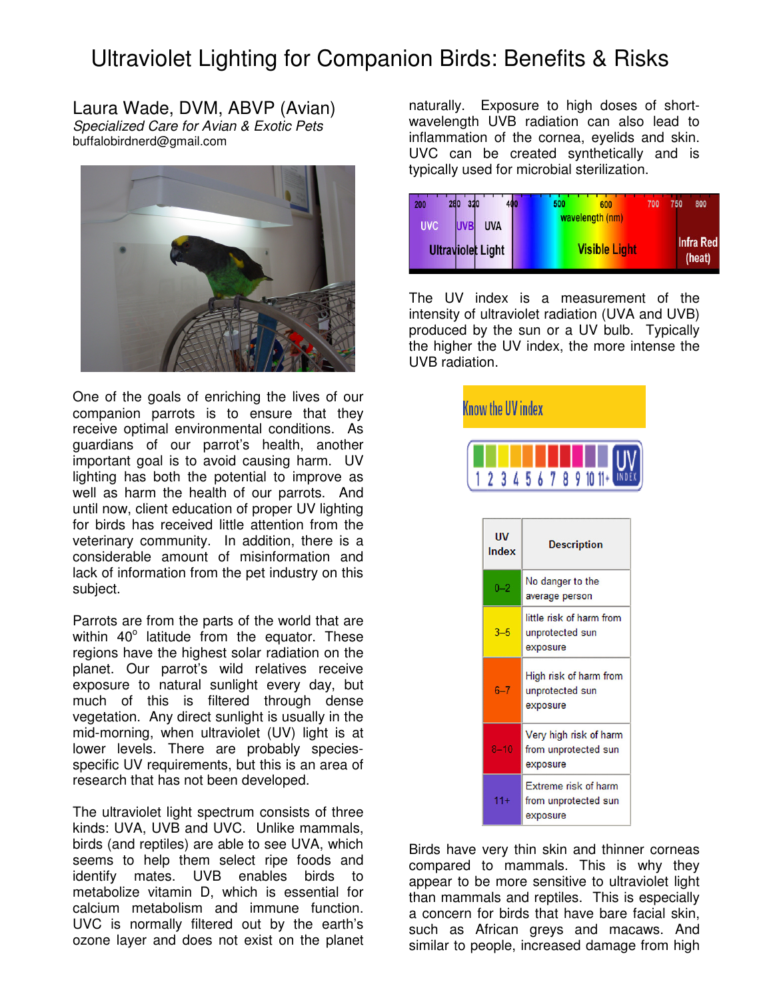## Ultraviolet Lighting for Companion Birds: Benefits & Risks

Laura Wade, DVM, ABVP (Avian) Specialized Care for Avian & Exotic Pets buffalobirdnerd@gmail.com



One of the goals of enriching the lives of our companion parrots is to ensure that they receive optimal environmental conditions. As guardians of our parrot's health, another important goal is to avoid causing harm. UV lighting has both the potential to improve as well as harm the health of our parrots. And until now, client education of proper UV lighting for birds has received little attention from the veterinary community. In addition, there is a considerable amount of misinformation and lack of information from the pet industry on this subject.

Parrots are from the parts of the world that are within  $40^\circ$  latitude from the equator. These regions have the highest solar radiation on the planet. Our parrot's wild relatives receive exposure to natural sunlight every day, but much of this is filtered through dense vegetation. Any direct sunlight is usually in the mid-morning, when ultraviolet (UV) light is at lower levels. There are probably speciesspecific UV requirements, but this is an area of research that has not been developed.

The ultraviolet light spectrum consists of three kinds: UVA, UVB and UVC. Unlike mammals, birds (and reptiles) are able to see UVA, which seems to help them select ripe foods and identify mates. UVB enables birds to metabolize vitamin D, which is essential for calcium metabolism and immune function. UVC is normally filtered out by the earth's ozone layer and does not exist on the planet naturally. Exposure to high doses of shortwavelength UVB radiation can also lead to inflammation of the cornea, eyelids and skin. UVC can be created synthetically and is typically used for microbial sterilization.

| 320<br>280<br>200                      | 500<br>600           | 700 | 750 | 800                        |
|----------------------------------------|----------------------|-----|-----|----------------------------|
| <b>UVC</b><br><b>UVB</b><br><b>UVA</b> | wavelength (nm)      |     |     |                            |
| <b>Ultraviolet Light</b>               | <b>Visible Light</b> |     |     | <b>Infra Red</b><br>(heat) |

The UV index is a measurement of the intensity of ultraviolet radiation (UVA and UVB) produced by the sun or a UV bulb. Typically the higher the UV index, the more intense the UVB radiation.



Birds have very thin skin and thinner corneas compared to mammals. This is why they appear to be more sensitive to ultraviolet light than mammals and reptiles. This is especially a concern for birds that have bare facial skin, such as African greys and macaws. And similar to people, increased damage from high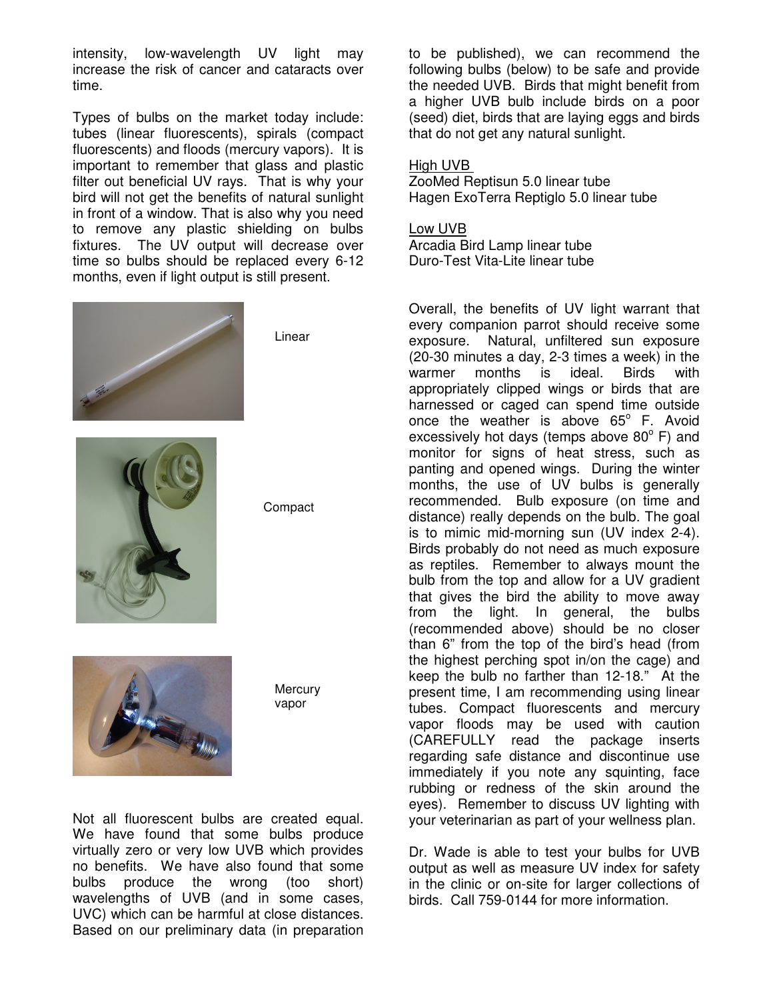intensity, low-wavelength UV light may increase the risk of cancer and cataracts over time.

Types of bulbs on the market today include: tubes (linear fluorescents), spirals (compact fluorescents) and floods (mercury vapors). It is important to remember that glass and plastic filter out beneficial UV rays. That is why your bird will not get the benefits of natural sunlight in front of a window. That is also why you need to remove any plastic shielding on bulbs fixtures. The UV output will decrease over time so bulbs should be replaced every 6-12 months, even if light output is still present.



Linear



**Compact** 



**Mercury** vapor

Not all fluorescent bulbs are created equal. We have found that some bulbs produce virtually zero or very low UVB which provides no benefits. We have also found that some bulbs produce the wrong (too short) wavelengths of UVB (and in some cases, UVC) which can be harmful at close distances. Based on our preliminary data (in preparation

to be published), we can recommend the following bulbs (below) to be safe and provide the needed UVB. Birds that might benefit from a higher UVB bulb include birds on a poor (seed) diet, birds that are laying eggs and birds that do not get any natural sunlight.

## High UVB

ZooMed Reptisun 5.0 linear tube Hagen ExoTerra Reptiglo 5.0 linear tube

Low UVB Arcadia Bird Lamp linear tube Duro-Test Vita-Lite linear tube

Overall, the benefits of UV light warrant that every companion parrot should receive some exposure. Natural, unfiltered sun exposure (20-30 minutes a day, 2-3 times a week) in the warmer months is ideal. Birds with appropriately clipped wings or birds that are harnessed or caged can spend time outside once the weather is above  $65^\circ$  F. Avoid excessively hot days (temps above  $80^{\circ}$  F) and monitor for signs of heat stress, such as panting and opened wings. During the winter months, the use of UV bulbs is generally recommended. Bulb exposure (on time and distance) really depends on the bulb. The goal is to mimic mid-morning sun (UV index 2-4). Birds probably do not need as much exposure as reptiles. Remember to always mount the bulb from the top and allow for a UV gradient that gives the bird the ability to move away from the light. In general, the bulbs (recommended above) should be no closer than 6" from the top of the bird's head (from the highest perching spot in/on the cage) and keep the bulb no farther than 12-18." At the present time, I am recommending using linear tubes. Compact fluorescents and mercury vapor floods may be used with caution (CAREFULLY read the package inserts regarding safe distance and discontinue use immediately if you note any squinting, face rubbing or redness of the skin around the eyes). Remember to discuss UV lighting with your veterinarian as part of your wellness plan.

Dr. Wade is able to test your bulbs for UVB output as well as measure UV index for safety in the clinic or on-site for larger collections of birds. Call 759-0144 for more information.